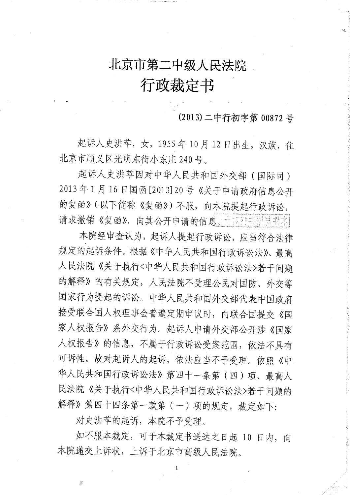# 北京市第二中级人民法院

## 行政裁定书

(2013) 二中行初字第 00872 号

起诉人史洪苹,女,1955年10月12日出生,汉族,住 北京市顺义区光明东街小东庄 240号。

起诉人史洪苹因对中华人民共和国外交部(国际司) 2013年1月16日国函[2013]20号《关于申请政府信息公开 的复函》(以下简称《复函》)不服,向本院提起行政诉讼, 请求撤销《复函》,向其公开申请的信息。于以外书是甚书本

本院经审查认为, 起诉人提起行政诉讼, 应当符合法律 规定的起诉条件。根据《中华人民共和国行政诉讼法》、最高 人民法院《关于执行<中华人民共和国行政诉讼法>若干问题 的解释》的有关规定,人民法院不受理公民对国防、外交等 国家行为提起的诉讼。中华人民共和国外交部代表中国政府 接受联合国人权理事会普遍定期审议时,向联合国提交《国 家人权报告》系外交行为。起诉人申请外交部公开涉《国家 人权报告》的信息,不属于行政诉讼受案范围,依法不具有 可诉性。故对起诉人的起诉, 依法应当不予受理。依照《中 华人民共和国行政诉讼法》第四十一条第(四)项、最高人 民法院《关于执行<中华人民共和国行政诉讼法>若干问题的 解释》第四十四条第一款第(一)项的规定,裁定如下:

对史洪苹的起诉,本院不予受理。

如不服本裁定,可于本裁定书送达之日起 10 日内,向 本院递交上诉状,上诉于北京市高级人民法院。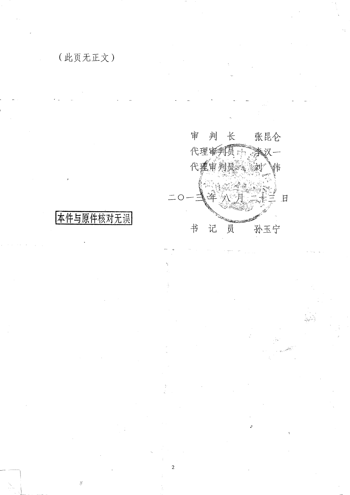

 $\overline{2}$ 

### 本件与原件核对无误